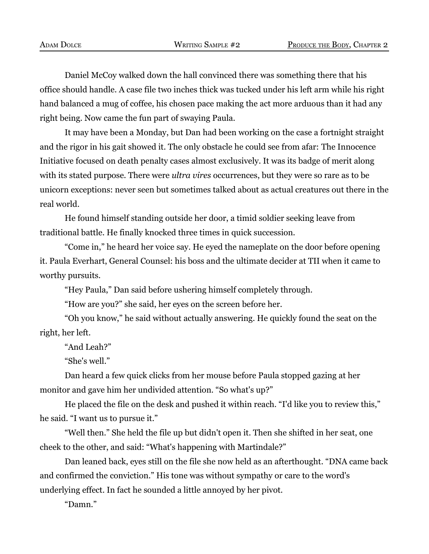Daniel McCoy walked down the hall convinced there was something there that his office should handle. A case file two inches thick was tucked under his left arm while his right hand balanced a mug of coffee, his chosen pace making the act more arduous than it had any right being. Now came the fun part of swaying Paula.

It may have been a Monday, but Dan had been working on the case a fortnight straight and the rigor in his gait showed it. The only obstacle he could see from afar: The Innocence Initiative focused on death penalty cases almost exclusively. It was its badge of merit along with its stated purpose. There were *ultra vires* occurrences, but they were so rare as to be unicorn exceptions: never seen but sometimes talked about as actual creatures out there in the real world.

He found himself standing outside her door, a timid soldier seeking leave from traditional battle. He finally knocked three times in quick succession.

"Come in," he heard her voice say. He eyed the nameplate on the door before opening it. Paula Everhart, General Counsel: his boss and the ultimate decider at TII when it came to worthy pursuits.

"Hey Paula," Dan said before ushering himself completely through.

"How are you?" she said, her eyes on the screen before her.

"Oh you know," he said without actually answering. He quickly found the seat on the right, her left.

"And Leah?"

"She's well."

Dan heard a few quick clicks from her mouse before Paula stopped gazing at her monitor and gave him her undivided attention. "So what's up?"

He placed the file on the desk and pushed it within reach. "I'd like you to review this," he said. "I want us to pursue it."

"Well then." She held the file up but didn't open it. Then she shifted in her seat, one cheek to the other, and said: "What's happening with Martindale?"

Dan leaned back, eyes still on the file she now held as an afterthought. "DNA came back and confirmed the conviction." His tone was without sympathy or care to the word's underlying effect. In fact he sounded a little annoyed by her pivot.

"Damn."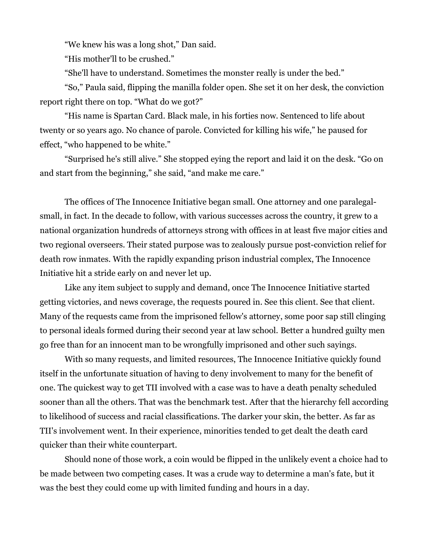"We knew his was a long shot," Dan said.

"His mother'll to be crushed."

"She'll have to understand. Sometimes the monster really is under the bed."

"So," Paula said, flipping the manilla folder open. She set it on her desk, the conviction report right there on top. "What do we got?"

"His name is Spartan Card. Black male, in his forties now. Sentenced to life about twenty or so years ago. No chance of parole. Convicted for killing his wife," he paused for effect, "who happened to be white."

"Surprised he's still alive." She stopped eying the report and laid it on the desk. "Go on and start from the beginning," she said, "and make me care."

The offices of The Innocence Initiative began small. One attorney and one paralegalsmall, in fact. In the decade to follow, with various successes across the country, it grew to a national organization hundreds of attorneys strong with offices in at least five major cities and two regional overseers. Their stated purpose was to zealously pursue post-conviction relief for death row inmates. With the rapidly expanding prison industrial complex, The Innocence Initiative hit a stride early on and never let up.

Like any item subject to supply and demand, once The Innocence Initiative started getting victories, and news coverage, the requests poured in. See this client. See that client. Many of the requests came from the imprisoned fellow's attorney, some poor sap still clinging to personal ideals formed during their second year at law school. Better a hundred guilty men go free than for an innocent man to be wrongfully imprisoned and other such sayings.

With so many requests, and limited resources, The Innocence Initiative quickly found itself in the unfortunate situation of having to deny involvement to many for the benefit of one. The quickest way to get TII involved with a case was to have a death penalty scheduled sooner than all the others. That was the benchmark test. After that the hierarchy fell according to likelihood of success and racial classifications. The darker your skin, the better. As far as TII's involvement went. In their experience, minorities tended to get dealt the death card quicker than their white counterpart.

Should none of those work, a coin would be flipped in the unlikely event a choice had to be made between two competing cases. It was a crude way to determine a man's fate, but it was the best they could come up with limited funding and hours in a day.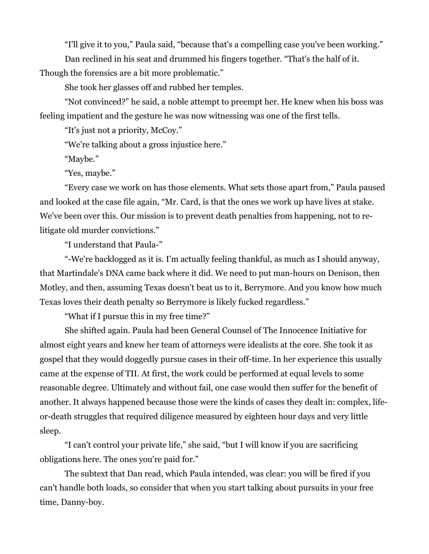"I'll give it to you," Paula said, "because that's a compelling case you've been working."

Dan reclined in his seat and drummed his fingers together. "That's the half of it.

Though the forensics are a bit more problematic."

She took her glasses off and rubbed her temples.

"Not convinced?" he said, a noble attempt to preempt her. He knew when his boss was feeling impatient and the gesture he was now witnessing was one of the first tells.

"It's just not a priority, McCoy."

"We're talking about a gross injustice here."

"Maybe."

"Yes, maybe."

"Every case we work on has those elements. What sets those apart from," Paula paused and looked at the case file again, "Mr. Card, is that the ones we work up have lives at stake. We've been over this. Our mission is to prevent death penalties from happening, not to relitigate old murder convictions."

"I understand that Paula-"

"-We're backlogged as it is. I'm actually feeling thankful, as much as I should anyway, that Martindale's DNA came back where it did. We need to put man-hours on Denison, then Motley, and then, assuming Texas doesn't beat us to it, Berrymore. And you know how much Texas loves their death penalty so Berrymore is likely fucked regardless."

"What if I pursue this in my free time?"

She shifted again. Paula had been General Counsel of The Innocence Initiative for almost eight years and knew her team of attorneys were idealists at the core. She took it as gospel that they would doggedly pursue cases in their off-time. In her experience this usually came at the expense of TII. At first, the work could be performed at equal levels to some reasonable degree. Ultimately and without fail, one case would then suffer for the benefit of another. It always happened because those were the kinds of cases they dealt in: complex, lifeor-death struggles that required diligence measured by eighteen hour days and very little sleep.

"I can't control your private life," she said, "but I will know if you are sacrificing obligations here. The ones you're paid for."

The subtext that Dan read, which Paula intended, was clear: you will be fired if you can't handle both loads, so consider that when you start talking about pursuits in your free time, Danny-boy.